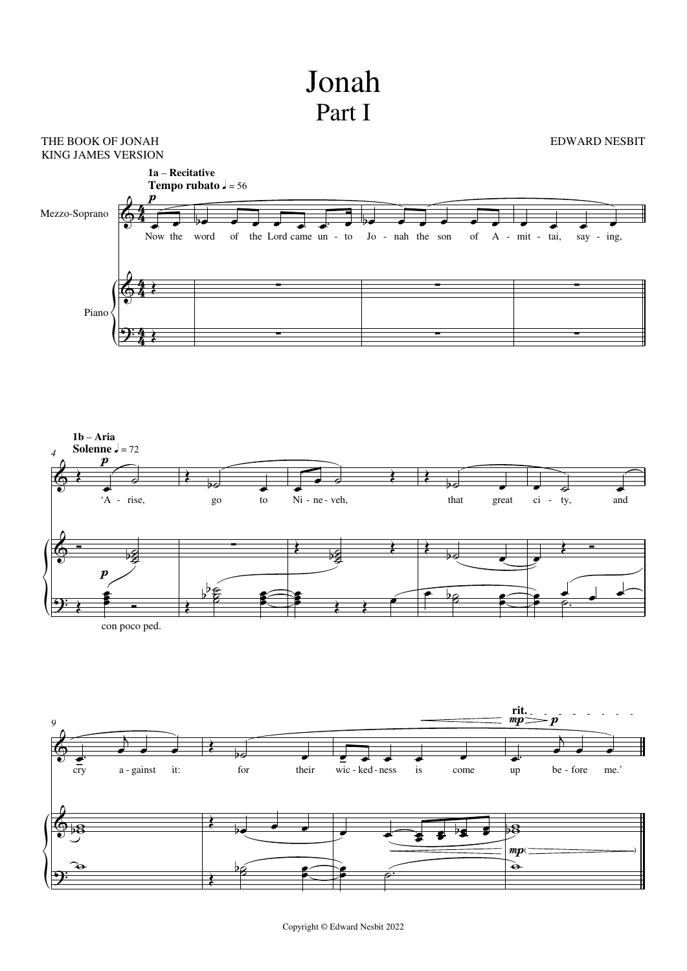## Jonah Part I

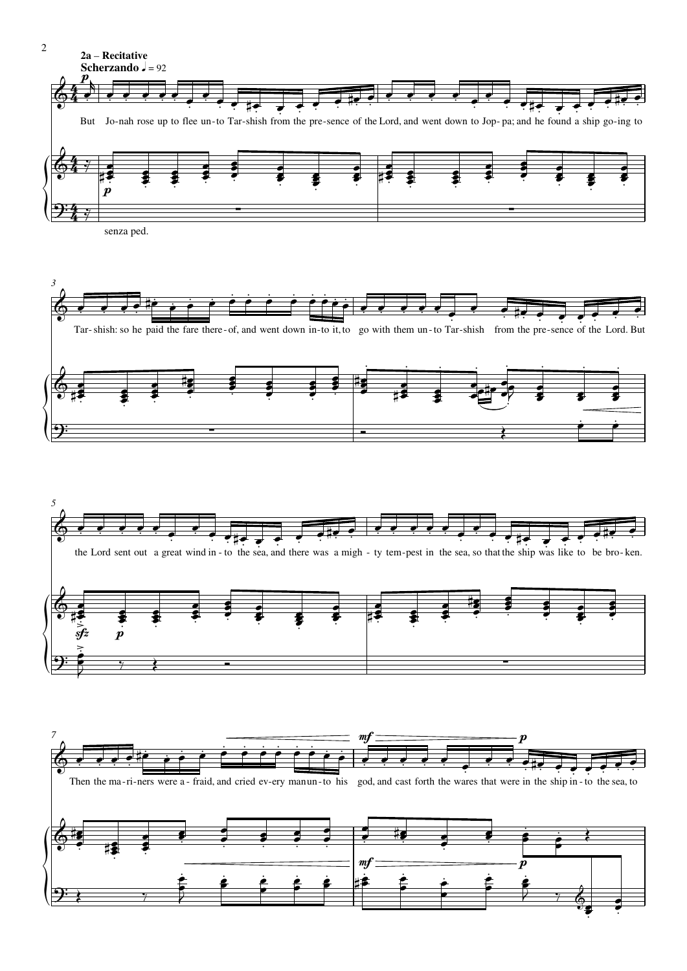

6 ļ  $\overline{\cdot}$  $\frac{1}{2}$  $\ddot{\bullet}$  $\overline{\phantom{a}}$ 

 $\frac{1}{\gamma}$ 

2

 $\leftarrow$   $\leftarrow$ 

₹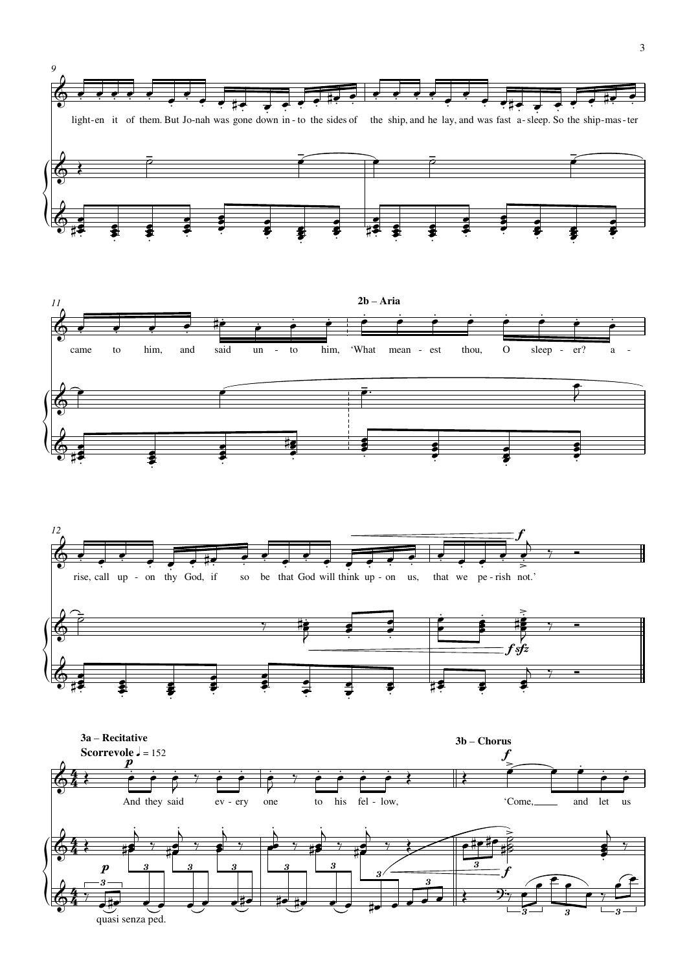

quasi senza ped.

 $\overline{3}$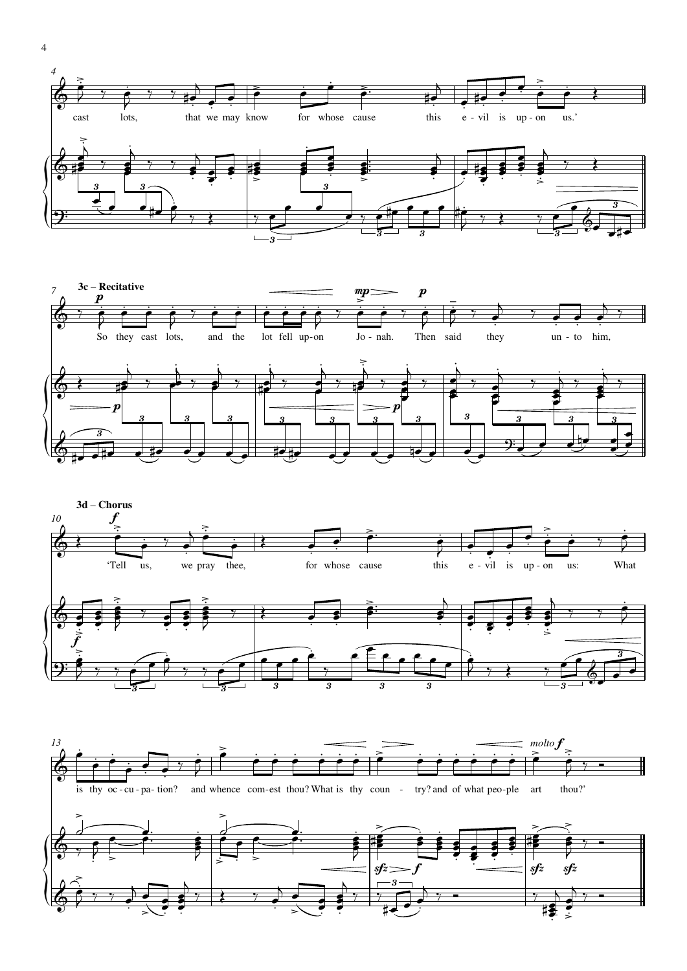







4